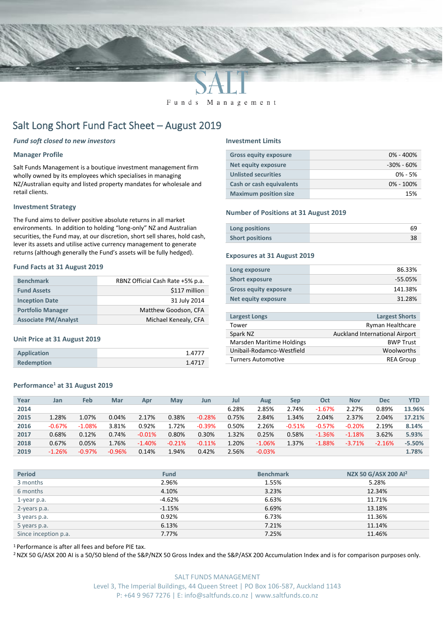

Funds Management

# Salt Long Short Fund Fact Sheet – August 2019

#### *Fund soft closed to new investors*

#### **Manager Profile**

Salt Funds Management is a boutique investment management firm wholly owned by its employees which specialises in managing NZ/Australian equity and listed property mandates for wholesale and retail clients.

#### **Investment Strategy**

The Fund aims to deliver positive absolute returns in all market environments. In addition to holding "long-only" NZ and Australian securities, the Fund may, at our discretion, short sell shares, hold cash, lever its assets and utilise active currency management to generate returns (although generally the Fund's assets will be fully hedged).

#### **Fund Facts at 31 August 2019**

| <b>Benchmark</b>            | RBNZ Official Cash Rate +5% p.a. |
|-----------------------------|----------------------------------|
| <b>Fund Assets</b>          | \$117 million                    |
| <b>Inception Date</b>       | 31 July 2014                     |
| <b>Portfolio Manager</b>    | Matthew Goodson, CFA             |
| <b>Associate PM/Analyst</b> | Michael Kenealy, CFA             |

#### **Unit Price at 31 August 2019**

| Application       | 1.4777 |
|-------------------|--------|
| <b>Redemption</b> | 1.4717 |

#### **Performance<sup>1</sup> at 31 August 2019**

### **Year Jan Feb Mar Apr May Jun Jul Aug Sep Oct Nov Dec YTD 2014** 6.28% 2.85% 2.74% -1.67% 2.27% 0.89% **13.96% 2015** 1.28% 1.07% 0.04% 2.17% 0.38% -0.28% 0.75% 2.84% 1.34% 2.04% 2.37% 2.04% **17.21% 2016** -0.67% -1.08% 3.81% 0.92% 1.72% -0.39% 0.50% 2.26% -0.51% -0.57% -0.20% 2.19% **8.14% 2017** 0.68% 0.12% 0.74% -0.01% 0.80% 0.30% 1.32% 0.25% 0.58% -1.36% -1.18% 3.62% **5.93% 2018** 0.67% 0.05% 1.76% -1.40% -0.21% -0.11% 1.20% -1.06% 1.37% -1.88% -3.71% -2.16% **-5.50% 2019** -1.26% -0.97% -0.96% 0.14% 1.94% 0.42% 2.56% -0.03% **1.78%**

| <b>Period</b>        | <b>Fund</b> | <b>Benchmark</b> | NZX 50 G/ASX 200 Al <sup>2</sup> |
|----------------------|-------------|------------------|----------------------------------|
| 3 months             | 2.96%       | 1.55%            | 5.28%                            |
| 6 months             | 4.10%       | 3.23%            | 12.34%                           |
| 1-year p.a.          | $-4.62%$    | 6.63%            | 11.71%                           |
| 2-years p.a.         | $-1.15%$    | 6.69%            | 13.18%                           |
| 3 years p.a.         | 0.92%       | 6.73%            | 11.36%                           |
| 5 years p.a.         | 6.13%       | 7.21%            | 11.14%                           |
| Since inception p.a. | 7.77%       | 7.25%            | 11.46%                           |

<sup>1</sup> Performance is after all fees and before PIE tax.

<sup>2</sup> NZX 50 G/ASX 200 AI is a 50/50 blend of the S&P/NZX 50 Gross Index and the S&P/ASX 200 Accumulation Index and is for comparison purposes only.

#### **Investment Limits**

| <b>Gross equity exposure</b>    | $0\% - 400\%$  |
|---------------------------------|----------------|
| Net equity exposure             | $-30\% - 60\%$ |
| <b>Unlisted securities</b>      | $0\% - 5\%$    |
| <b>Cash or cash equivalents</b> | $0\% - 100\%$  |
| <b>Maximum position size</b>    | 15%            |

#### **Number of Positions at 31 August 2019**

| Long positions         | 69 |
|------------------------|----|
| <b>Short positions</b> |    |

#### **Exposures at 31 August 2019**

| Long exposure                | 86.33%  |
|------------------------------|---------|
| <b>Short exposure</b>        | -55.05% |
| <b>Gross equity exposure</b> | 141.38% |
| Net equity exposure          | 31.28%  |
|                              |         |

| <b>Largest Longs</b>      | <b>Largest Shorts</b>          |
|---------------------------|--------------------------------|
| Tower                     | Ryman Healthcare               |
| Spark NZ                  | Auckland International Airport |
| Marsden Maritime Holdings | <b>BWP Trust</b>               |
| Unibail-Rodamco-Westfield | Woolworths                     |
| <b>Turners Automotive</b> | <b>REA Group</b>               |
|                           |                                |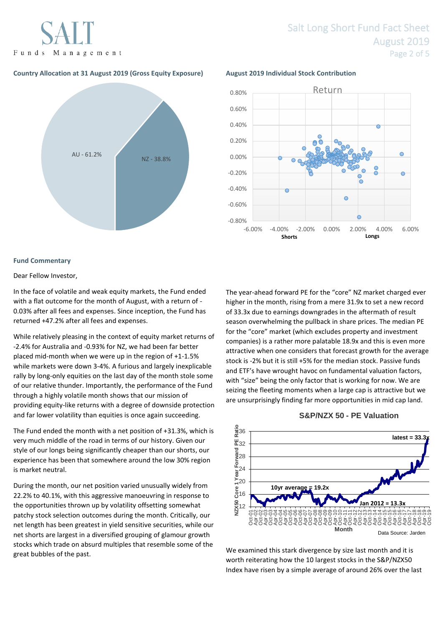Funds Management

## Salt Long Short Fund Fact Sheet August 2019 Page 2 of 5

### **Country Allocation at 31 August 2019 (Gross Equity Exposure) August 2019 Individual Stock Contribution**





#### **Fund Commentary**

#### Dear Fellow Investor,

In the face of volatile and weak equity markets, the Fund ended with a flat outcome for the month of August, with a return of - 0.03% after all fees and expenses. Since inception, the Fund has returned +47.2% after all fees and expenses.

While relatively pleasing in the context of equity market returns of -2.4% for Australia and -0.93% for NZ, we had been far better placed mid-month when we were up in the region of +1-1.5% while markets were down 3-4%. A furious and largely inexplicable rally by long-only equities on the last day of the month stole some of our relative thunder. Importantly, the performance of the Fund through a highly volatile month shows that our mission of providing equity-like returns with a degree of downside protection and far lower volatility than equities is once again succeeding.

The Fund ended the month with a net position of +31.3%, which is very much middle of the road in terms of our history. Given our style of our longs being significantly cheaper than our shorts, our experience has been that somewhere around the low 30% region is market neutral.

During the month, our net position varied unusually widely from 22.2% to 40.1%, with this aggressive manoeuvring in response to the opportunities thrown up by volatility offsetting somewhat patchy stock selection outcomes during the month. Critically, our net length has been greatest in yield sensitive securities, while our net shorts are largest in a diversified grouping of glamour growth stocks which trade on absurd multiples that resemble some of the great bubbles of the past.

The year-ahead forward PE for the "core" NZ market charged ever higher in the month, rising from a mere 31.9x to set a new record of 33.3x due to earnings downgrades in the aftermath of result season overwhelming the pullback in share prices. The median PE for the "core" market (which excludes property and investment companies) is a rather more palatable 18.9x and this is even more attractive when one considers that forecast growth for the average stock is -2% but it is still +5% for the median stock. Passive funds and ETF's have wrought havoc on fundamental valuation factors, with "size" being the only factor that is working for now. We are seizing the fleeting moments when a large cap is attractive but we are unsurprisingly finding far more opportunities in mid cap land.

#### **S&P/NZX 50 - PE Valuation**



We examined this stark divergence by size last month and it is worth reiterating how the 10 largest stocks in the S&P/NZX50 Index have risen by a simple average of around 26% over the last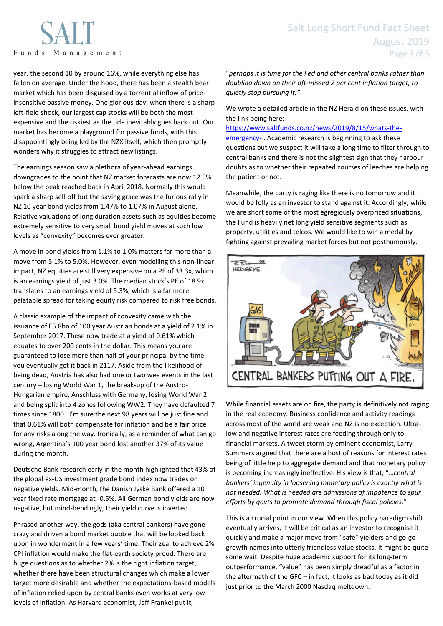# Funds Management

year, the second 10 by around 16%, while everything else has fallen on average. Under the hood, there has been a stealth bear market which has been disguised by a torrential inflow of priceinsensitive passive money. One glorious day, when there is a sharp left-field shock, our largest cap stocks will be both the most expensive and the riskiest as the tide inevitably goes back out. Our market has become a playground for passive funds, with this disappointingly being led by the NZX itself, which then promptly wonders why it struggles to attract new listings.

The earnings season saw a plethora of year-ahead earnings downgrades to the point that NZ market forecasts are now 12.5% below the peak reached back in April 2018. Normally this would spark a sharp sell-off but the saving grace was the furious rally in NZ 10 year bond yields from 1.47% to 1.07% in August alone. Relative valuations of long duration assets such as equities become extremely sensitive to very small bond yield moves at such low levels as "convexity" becomes ever greater.

A move in bond yields from 1.1% to 1.0% matters far more than a move from 5.1% to 5.0%. However, even modelling this non-linear impact, NZ equities are still very expensive on a PE of 33.3x, which is an earnings yield of just 3.0%. The median stock's PE of 18.9x translates to an earnings yield of 5.3%, which is a far more palatable spread for taking equity risk compared to risk free bonds.

A classic example of the impact of convexity came with the issuance of E5.8bn of 100 year Austrian bonds at a yield of 2.1% in September 2017. These now trade at a yield of 0.61% which equates to over 200 cents in the dollar. This means you are guaranteed to lose more than half of your principal by the time you eventually get it back in 2117. Aside from the likelihood of being dead, Austria has also had one or two wee events in the last century – losing World War 1, the break-up of the Austro-Hungarian empire, Anschluss with Germany, losing World War 2 and being split into 4 zones following WW2. They have defaulted 7 times since 1800. I'm sure the next 98 years will be just fine and that 0.61% will both compensate for inflation and be a fair price for any risks along the way. Ironically, as a reminder of what can go wrong, Argentina's 100 year bond lost another 37% of its value during the month.

Deutsche Bank research early in the month highlighted that 43% of the global ex-US investment grade bond index now trades on negative yields. Mid-month, the Danish Jyske Bank offered a 10 year fixed rate mortgage at -0.5%. All German bond yields are now negative, but mind-bendingly, their yield curve is inverted.

Phrased another way, the gods (aka central bankers) have gone crazy and driven a bond market bubble that will be looked back upon in wonderment in a few years' time. Their zeal to achieve 2% CPI inflation would make the flat-earth society proud. There are huge questions as to whether 2% is the right inflation target, whether there have been structural changes which make a lower target more desirable and whether the expectations-based models of inflation relied upon by central banks even works at very low levels of inflation. As Harvard economist, Jeff Frankel put it,

# Salt Long Short Fund Fact Sheet August 2019 Page 3 of 5

"*perhaps it is time for the Fed and other central banks rather than doubling down on their oft-missed 2 per cent inflation target, to quietly stop pursuing it."*

We wrote a detailed article in the NZ Herald on these issues, with the link being here:

[https://www.saltfunds.co.nz/news/2019/8/15/whats-the](https://www.saltfunds.co.nz/news/2019/8/15/whats-the-emergency-)[emergency-](https://www.saltfunds.co.nz/news/2019/8/15/whats-the-emergency-) . Academic research is beginning to ask these questions but we suspect it will take a long time to filter through to central banks and there is not the slightest sign that they harbour doubts as to whether their repeated courses of leeches are helping the patient or not.

Meanwhile, the party is raging like there is no tomorrow and it would be folly as an investor to stand against it. Accordingly, while we are short some of the most egregiously overpriced situations, the Fund is heavily net long yield sensitive segments such as property, utilities and telcos. We would like to win a medal by fighting against prevailing market forces but not posthumously.



While financial assets are on fire, the party is definitively not raging in the real economy. Business confidence and activity readings across most of the world are weak and NZ is no exception. Ultralow and negative interest rates are feeding through only to financial markets. A tweet storm by eminent economist, Larry Summers argued that there are a host of reasons for interest rates being of little help to aggregate demand and that monetary policy is becoming increasingly ineffective. His view is that, "…*central bankers' ingenuity in loosening monetary policy is exactly what is not needed. What is needed are admissions of impotence to spur efforts by govts to promote demand through fiscal policies.*"

This is a crucial point in our view. When this policy paradigm shift eventually arrives, it will be critical as an investor to recognise it quickly and make a major move from "safe" yielders and go-go growth names into utterly friendless value stocks. It might be quite some wait. Despite huge academic support for its long-term outperformance, "value" has been simply dreadful as a factor in the aftermath of the GFC – in fact, it looks as bad today as it did just prior to the March 2000 Nasdaq meltdown.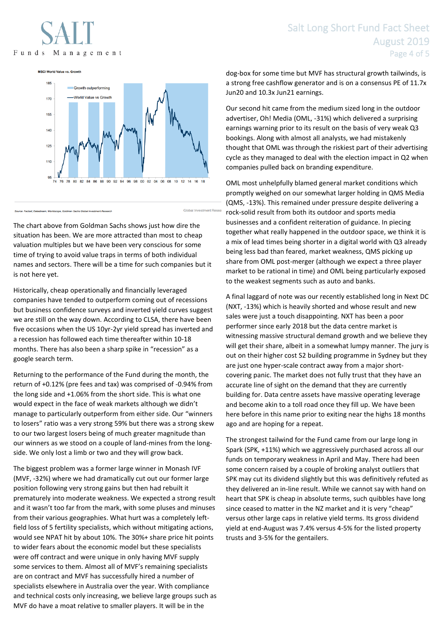# Funds Management

## Salt Long Short Fund Fact Sheet August 2019 Page 4 of 5

**MSCI World Value vs. Growth** 



The chart above from Goldman Sachs shows just how dire the situation has been. We are more attracted than most to cheap valuation multiples but we have been very conscious for some time of trying to avoid value traps in terms of both individual names and sectors. There will be a time for such companies but it is not here yet.

Historically, cheap operationally and financially leveraged companies have tended to outperform coming out of recessions but business confidence surveys and inverted yield curves suggest we are still on the way down. According to CLSA, there have been five occasions when the US 10yr-2yr yield spread has inverted and a recession has followed each time thereafter within 10-18 months. There has also been a sharp spike in "recession" as a google search term.

Returning to the performance of the Fund during the month, the return of +0.12% (pre fees and tax) was comprised of -0.94% from the long side and +1.06% from the short side. This is what one would expect in the face of weak markets although we didn't manage to particularly outperform from either side. Our "winners to losers" ratio was a very strong 59% but there was a strong skew to our two largest losers being of much greater magnitude than our winners as we stood on a couple of land-mines from the longside. We only lost a limb or two and they will grow back.

The biggest problem was a former large winner in Monash IVF (MVF, -32%) where we had dramatically cut out our former large position following very strong gains but then had rebuilt it prematurely into moderate weakness. We expected a strong result and it wasn't too far from the mark, with some pluses and minuses from their various geographies. What hurt was a completely leftfield loss of 5 fertility specialists, which without mitigating actions, would see NPAT hit by about 10%. The 30%+ share price hit points to wider fears about the economic model but these specialists were off contract and were unique in only having MVF supply some services to them. Almost all of MVF's remaining specialists are on contract and MVF has successfully hired a number of specialists elsewhere in Australia over the year. With compliance and technical costs only increasing, we believe large groups such as MVF do have a moat relative to smaller players. It will be in the

dog-box for some time but MVF has structural growth tailwinds, is a strong free cashflow generator and is on a consensus PE of 11.7x Jun20 and 10.3x Jun21 earnings.

Our second hit came from the medium sized long in the outdoor advertiser, Oh! Media (OML, -31%) which delivered a surprising earnings warning prior to its result on the basis of very weak Q3 bookings. Along with almost all analysts, we had mistakenly thought that OML was through the riskiest part of their advertising cycle as they managed to deal with the election impact in Q2 when companies pulled back on branding expenditure.

OML most unhelpfully blamed general market conditions which promptly weighed on our somewhat larger holding in QMS Media (QMS, -13%). This remained under pressure despite delivering a rock-solid result from both its outdoor and sports media businesses and a confident reiteration of guidance. In piecing together what really happened in the outdoor space, we think it is a mix of lead times being shorter in a digital world with Q3 already being less bad than feared, market weakness, QMS picking up share from OML post-merger (although we expect a three player market to be rational in time) and OML being particularly exposed to the weakest segments such as auto and banks.

A final laggard of note was our recently established long in Next DC (NXT, -13%) which is heavily shorted and whose result and new sales were just a touch disappointing. NXT has been a poor performer since early 2018 but the data centre market is witnessing massive structural demand growth and we believe they will get their share, albeit in a somewhat lumpy manner. The jury is out on their higher cost S2 building programme in Sydney but they are just one hyper-scale contract away from a major shortcovering panic. The market does not fully trust that they have an accurate line of sight on the demand that they are currently building for. Data centre assets have massive operating leverage and become akin to a toll road once they fill up. We have been here before in this name prior to exiting near the highs 18 months ago and are hoping for a repeat.

The strongest tailwind for the Fund came from our large long in Spark (SPK, +11%) which we aggressively purchased across all our funds on temporary weakness in April and May. There had been some concern raised by a couple of broking analyst outliers that SPK may cut its dividend slightly but this was definitively refuted as they delivered an in-line result. While we cannot say with hand on heart that SPK is cheap in absolute terms, such quibbles have long since ceased to matter in the NZ market and it is very "cheap" versus other large caps in relative yield terms. Its gross dividend yield at end-August was 7.4% versus 4-5% for the listed property trusts and 3-5% for the gentailers.